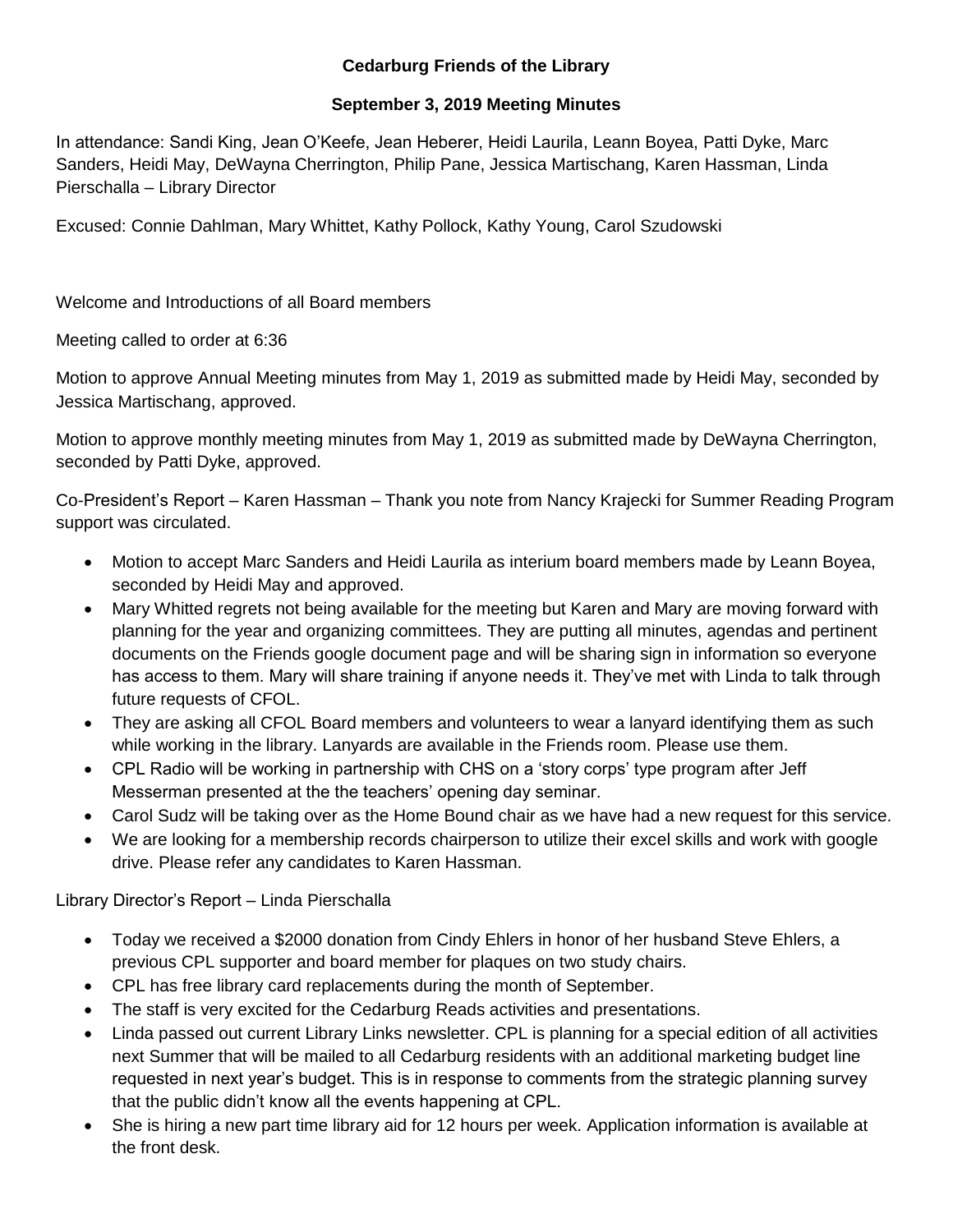## **Cedarburg Friends of the Library**

## **September 3, 2019 Meeting Minutes**

In attendance: Sandi King, Jean O'Keefe, Jean Heberer, Heidi Laurila, Leann Boyea, Patti Dyke, Marc Sanders, Heidi May, DeWayna Cherrington, Philip Pane, Jessica Martischang, Karen Hassman, Linda Pierschalla – Library Director

Excused: Connie Dahlman, Mary Whittet, Kathy Pollock, Kathy Young, Carol Szudowski

Welcome and Introductions of all Board members

Meeting called to order at 6:36

Motion to approve Annual Meeting minutes from May 1, 2019 as submitted made by Heidi May, seconded by Jessica Martischang, approved.

Motion to approve monthly meeting minutes from May 1, 2019 as submitted made by DeWayna Cherrington, seconded by Patti Dyke, approved.

Co-President's Report – Karen Hassman – Thank you note from Nancy Krajecki for Summer Reading Program support was circulated.

- Motion to accept Marc Sanders and Heidi Laurila as interium board members made by Leann Boyea, seconded by Heidi May and approved.
- Mary Whitted regrets not being available for the meeting but Karen and Mary are moving forward with planning for the year and organizing committees. They are putting all minutes, agendas and pertinent documents on the Friends google document page and will be sharing sign in information so everyone has access to them. Mary will share training if anyone needs it. They've met with Linda to talk through future requests of CFOL.
- They are asking all CFOL Board members and volunteers to wear a lanyard identifying them as such while working in the library. Lanyards are available in the Friends room. Please use them.
- CPL Radio will be working in partnership with CHS on a 'story corps' type program after Jeff Messerman presented at the the teachers' opening day seminar.
- Carol Sudz will be taking over as the Home Bound chair as we have had a new request for this service.
- We are looking for a membership records chairperson to utilize their excel skills and work with google drive. Please refer any candidates to Karen Hassman.

Library Director's Report – Linda Pierschalla

- Today we received a \$2000 donation from Cindy Ehlers in honor of her husband Steve Ehlers, a previous CPL supporter and board member for plaques on two study chairs.
- CPL has free library card replacements during the month of September.
- The staff is very excited for the Cedarburg Reads activities and presentations.
- Linda passed out current Library Links newsletter. CPL is planning for a special edition of all activities next Summer that will be mailed to all Cedarburg residents with an additional marketing budget line requested in next year's budget. This is in response to comments from the strategic planning survey that the public didn't know all the events happening at CPL.
- She is hiring a new part time library aid for 12 hours per week. Application information is available at the front desk.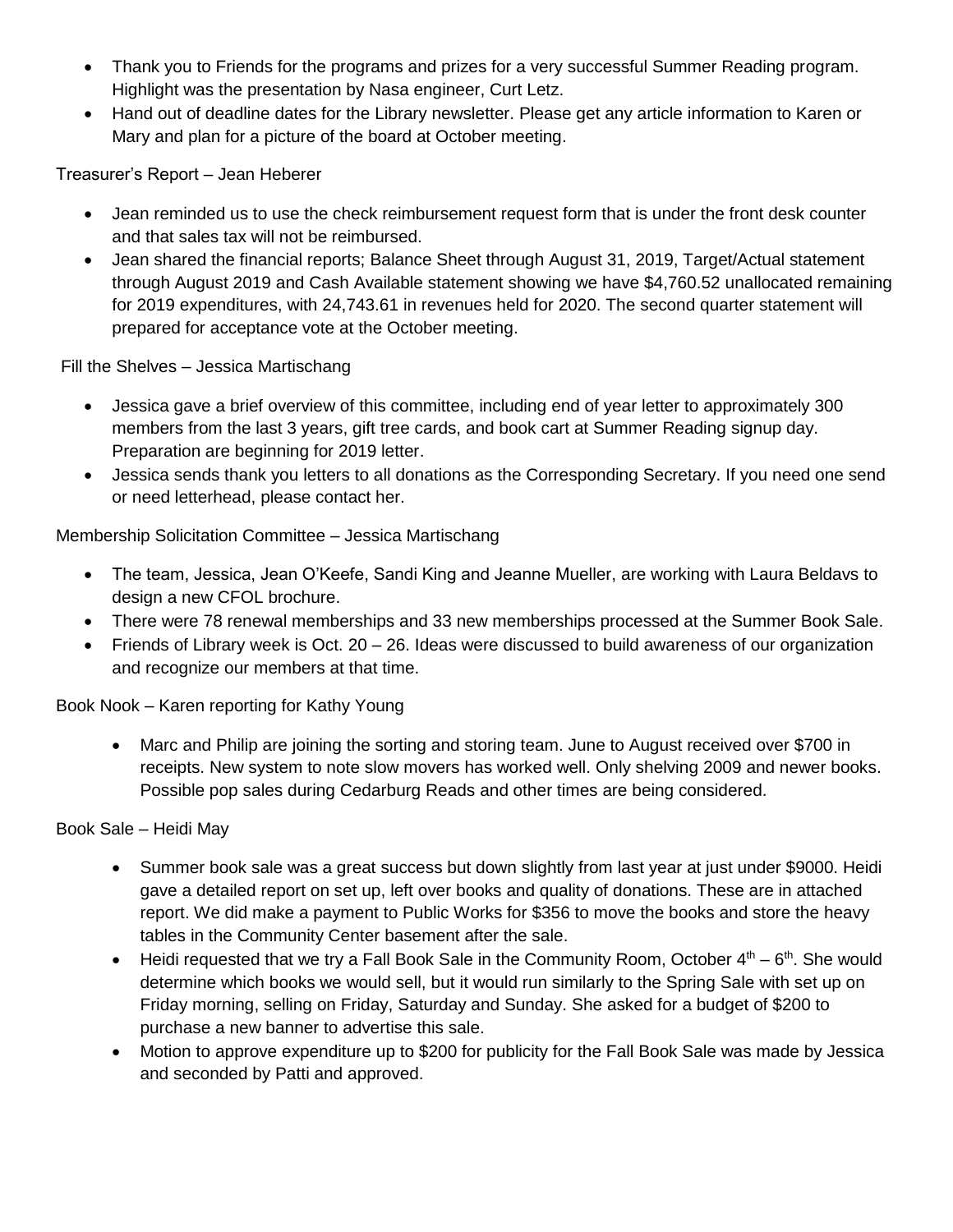- Thank you to Friends for the programs and prizes for a very successful Summer Reading program. Highlight was the presentation by Nasa engineer, Curt Letz.
- Hand out of deadline dates for the Library newsletter. Please get any article information to Karen or Mary and plan for a picture of the board at October meeting.

Treasurer's Report – Jean Heberer

- Jean reminded us to use the check reimbursement request form that is under the front desk counter and that sales tax will not be reimbursed.
- Jean shared the financial reports; Balance Sheet through August 31, 2019, Target/Actual statement through August 2019 and Cash Available statement showing we have \$4,760.52 unallocated remaining for 2019 expenditures, with 24,743.61 in revenues held for 2020. The second quarter statement will prepared for acceptance vote at the October meeting.

Fill the Shelves – Jessica Martischang

- Jessica gave a brief overview of this committee, including end of year letter to approximately 300 members from the last 3 years, gift tree cards, and book cart at Summer Reading signup day. Preparation are beginning for 2019 letter.
- Jessica sends thank you letters to all donations as the Corresponding Secretary. If you need one send or need letterhead, please contact her.

Membership Solicitation Committee – Jessica Martischang

- The team, Jessica, Jean O'Keefe, Sandi King and Jeanne Mueller, are working with Laura Beldavs to design a new CFOL brochure.
- There were 78 renewal memberships and 33 new memberships processed at the Summer Book Sale.
- Friends of Library week is Oct. 20 26. Ideas were discussed to build awareness of our organization and recognize our members at that time.

Book Nook – Karen reporting for Kathy Young

 Marc and Philip are joining the sorting and storing team. June to August received over \$700 in receipts. New system to note slow movers has worked well. Only shelving 2009 and newer books. Possible pop sales during Cedarburg Reads and other times are being considered.

Book Sale – Heidi May

- Summer book sale was a great success but down slightly from last year at just under \$9000. Heidi gave a detailed report on set up, left over books and quality of donations. These are in attached report. We did make a payment to Public Works for \$356 to move the books and store the heavy tables in the Community Center basement after the sale.
- Heidi requested that we try a Fall Book Sale in the Community Room, October  $4<sup>th</sup> 6<sup>th</sup>$ . She would determine which books we would sell, but it would run similarly to the Spring Sale with set up on Friday morning, selling on Friday, Saturday and Sunday. She asked for a budget of \$200 to purchase a new banner to advertise this sale.
- Motion to approve expenditure up to \$200 for publicity for the Fall Book Sale was made by Jessica and seconded by Patti and approved.